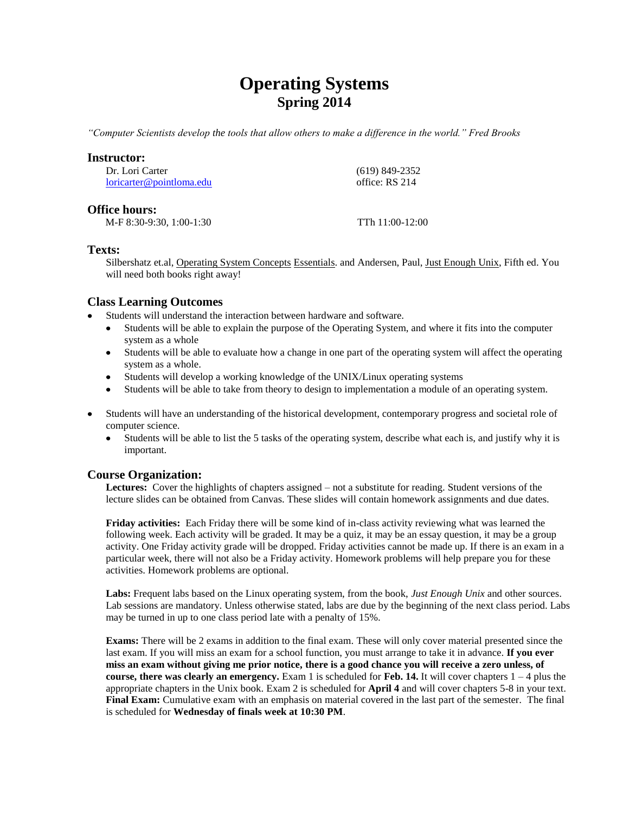# **Operating Systems Spring 2014**

*"Computer Scientists develop the tools that allow others to make a difference in the world." Fred Brooks*

## **Instructor:**

Dr. Lori Carter [loricarter@pointloma.edu](mailto:loricarter@pointloma.edu)  (619) 849-2352 office: RS 214

## **Office hours:**

M-F 8:30-9:30, 1:00-1:30 TTh 11:00-12:00

## **Texts:**

Silbershatz et.al, Operating System Concepts Essentials. and Andersen, Paul, Just Enough Unix, Fifth ed. You will need both books right away!

# **Class Learning Outcomes**

- Students will understand the interaction between hardware and software.
	- Students will be able to explain the purpose of the Operating System, and where it fits into the computer system as a whole
	- Students will be able to evaluate how a change in one part of the operating system will affect the operating system as a whole.
	- Students will develop a working knowledge of the UNIX/Linux operating systems
	- Students will be able to take from theory to design to implementation a module of an operating system.
- Students will have an understanding of the historical development, contemporary progress and societal role of computer science.
	- Students will be able to list the 5 tasks of the operating system, describe what each is, and justify why it is  $\bullet$ important.

## **Course Organization:**

**Lectures:** Cover the highlights of chapters assigned – not a substitute for reading. Student versions of the lecture slides can be obtained from Canvas. These slides will contain homework assignments and due dates.

**Friday activities:** Each Friday there will be some kind of in-class activity reviewing what was learned the following week. Each activity will be graded. It may be a quiz, it may be an essay question, it may be a group activity. One Friday activity grade will be dropped. Friday activities cannot be made up. If there is an exam in a particular week, there will not also be a Friday activity. Homework problems will help prepare you for these activities. Homework problems are optional.

**Labs:** Frequent labs based on the Linux operating system, from the book, *Just Enough Unix* and other sources. Lab sessions are mandatory. Unless otherwise stated, labs are due by the beginning of the next class period. Labs may be turned in up to one class period late with a penalty of 15%.

**Exams:** There will be 2 exams in addition to the final exam. These will only cover material presented since the last exam. If you will miss an exam for a school function, you must arrange to take it in advance. **If you ever miss an exam without giving me prior notice, there is a good chance you will receive a zero unless, of course, there was clearly an emergency.** Exam 1 is scheduled for **Feb. 14.** It will cover chapters 1 – 4 plus the appropriate chapters in the Unix book. Exam 2 is scheduled for **April 4** and will cover chapters 5-8 in your text. **Final Exam:** Cumulative exam with an emphasis on material covered in the last part of the semester. The final is scheduled for **Wednesday of finals week at 10:30 PM**.